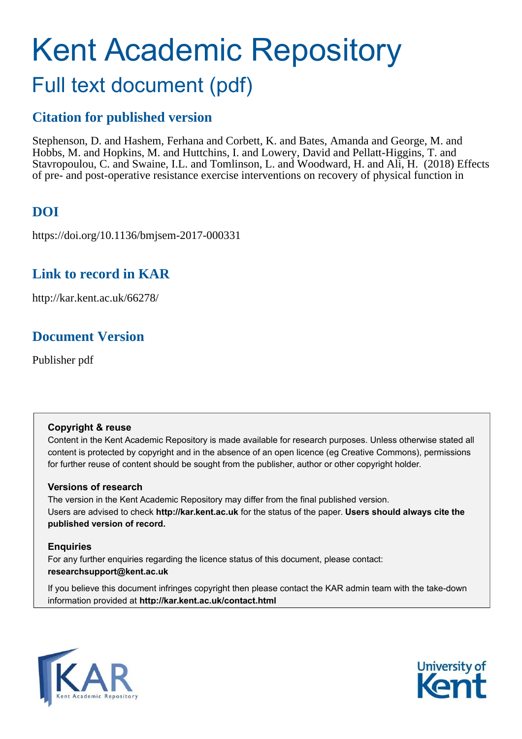# Kent Academic Repository Full text document (pdf)

## **Citation for published version**

Stephenson, D. and Hashem, Ferhana and Corbett, K. and Bates, Amanda and George, M. and Hobbs, M. and Hopkins, M. and Huttchins, I. and Lowery, David and Pellatt-Higgins, T. and Stavropoulou, C. and Swaine, I.L. and Tomlinson, L. and Woodward, H. and Ali, H. (2018) Effects of pre- and post-operative resistance exercise interventions on recovery of physical function in

## **DOI**

https://doi.org/10.1136/bmjsem-2017-000331

## **Link to record in KAR**

http://kar.kent.ac.uk/66278/

## **Document Version**

Publisher pdf

### **Copyright & reuse**

Content in the Kent Academic Repository is made available for research purposes. Unless otherwise stated all content is protected by copyright and in the absence of an open licence (eg Creative Commons), permissions for further reuse of content should be sought from the publisher, author or other copyright holder.

### **Versions of research**

The version in the Kent Academic Repository may differ from the final published version. Users are advised to check **http://kar.kent.ac.uk** for the status of the paper. **Users should always cite the published version of record.**

### **Enquiries**

For any further enquiries regarding the licence status of this document, please contact: **researchsupport@kent.ac.uk**

If you believe this document infringes copyright then please contact the KAR admin team with the take-down information provided at **http://kar.kent.ac.uk/contact.html**



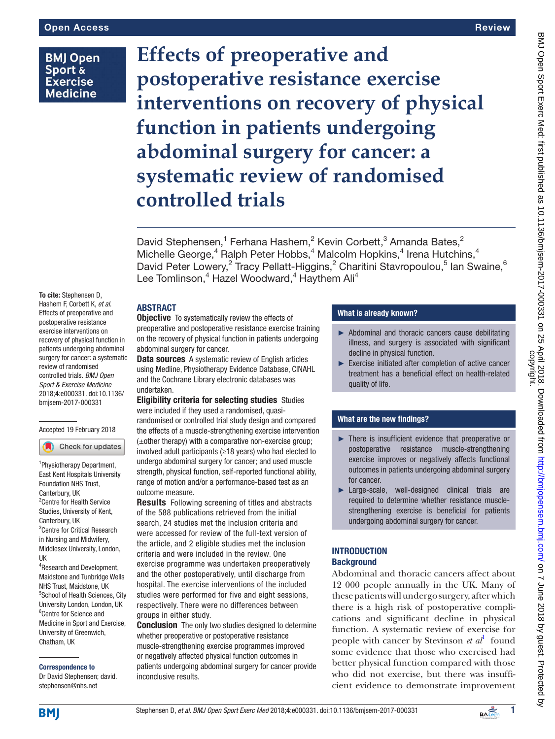## **BMJ Open** Sport & **Exercise Medicine**

**Effects of preoperative and postoperative resistance exercise interventions on recovery of physical function in patients undergoing abdominal surgery for cancer: a systematic review of randomised controlled trials**

David Stephensen,<sup>1</sup> Ferhana Hashem,<sup>2</sup> Kevin Corbett,<sup>3</sup> Amanda Bates,<sup>2</sup> Michelle George,<sup>4</sup> Ralph Peter Hobbs,<sup>4</sup> Malcolm Hopkins,<sup>4</sup> Irena Hutchins,<sup>4</sup> David Peter Lowery,<sup>2</sup> Tracy Pellatt-Higgins,<sup>2</sup> Charitini Stavropoulou,<sup>5</sup> Ian Swaine,<sup>6</sup> Lee Tomlinson,<sup>4</sup> Hazel Woodward,<sup>4</sup> Haythem Ali<sup>4</sup>

To cite: Stephensen D, Hashem F, Corbett K, et al. Effects of preoperative and postoperative resistance exercise interventions on recovery of physical function in patients undergoing abdominal surgery for cancer: a systematic review of randomised controlled trials. BMJ Open Sport & Exercise Medicine 2018;4:e000331. doi:10.1136/ bmjsem-2017-000331

#### Accepted 19 February 2018

Check for updates

1 Physiotherapy Department, East Kent Hospitals University Foundation NHS Trust, Canterbury, UK <sup>2</sup> Centre for Health Service Studies, University of Kent, Canterbury, UK <sup>3</sup> Centre for Critical Research in Nursing and Midwifery, Middlesex University, London, UK 4 Research and Development,

Maidstone and Tunbridge Wells NHS Trust, Maidstone, UK 5 School of Health Sciences, City University London, London, UK 6 Centre for Science and Medicine in Sport and Exercise, University of Greenwich, Chatham, UK

Correspondence to

Dr David Stephensen; david. stephensen@ nhs. net

#### **ABSTRACT**

**Objective** To systematically review the effects of preoperative and postoperative resistance exercise training on the recovery of physical function in patients undergoing abdominal surgery for cancer.

**Data sources** A systematic review of English articles using Medline, Physiotherapy Evidence Database, CINAHL and the Cochrane Library electronic databases was undertaken.

#### Eligibility criteria for selecting studies Studies were included if they used a randomised, quasi-

randomised or controlled trial study design and compared the effects of a muscle-strengthening exercise intervention (±other therapy) with a comparative non-exercise group; involved adult participants (≥18 years) who had elected to undergo abdominal surgery for cancer; and used muscle strength, physical function, self-reported functional ability, range of motion and/or a performance-based test as an outcome measure.

**Results** Following screening of titles and abstracts of the 588 publications retrieved from the initial search, 24 studies met the inclusion criteria and were accessed for review of the full-text version of the article, and 2 eligible studies met the inclusion criteria and were included in the review. One exercise programme was undertaken preoperatively and the other postoperatively, until discharge from hospital. The exercise interventions of the included studies were performed for five and eight sessions, respectively. There were no differences between groups in either study.

<span id="page-1-0"></span>**Conclusion** The only two studies designed to determine whether preoperative or postoperative resistance muscle-strengthening exercise programmes improved or negatively affected physical function outcomes in patients undergoing abdominal surgery for cancer provide inconclusive results.

#### What is already known?

- $\triangleright$  Abdominal and thoracic cancers cause debilitating illness, and surgery is associated with significant decline in physical function.
- $\blacktriangleright$  Exercise initiated after completion of active cancer treatment has a beneicial effect on health-related quality of life.

#### What are the new findings?

- $\blacktriangleright$  There is insufficient evidence that preoperative or postoperative resistance muscle-strengthening exercise improves or negatively affects functional outcomes in patients undergoing abdominal surgery for cancer.
- ► Large-scale, well-designed clinical trials are required to determine whether resistance musclestrengthening exercise is beneficial for patients undergoing abdominal surgery for cancer.

#### **INTRODUCTION Background**

Abdominal and thoracic cancers affect about 12 000 people annually in the UK. Many of these patients will undergo surgery, after which there is a high risk of postoperative complications and significant decline in physical function. A systematic review of exercise for people with cancer by Stevinson *et al*<sup>[1](#page-5-0)</sup> found some evidence that those who exercised had better physical function compared with those who did not exercise, but there was insufficient evidence to demonstrate improvement

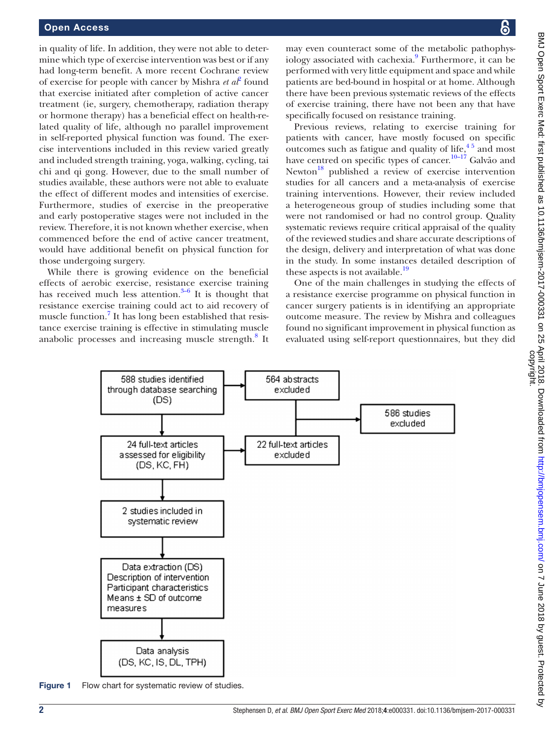in quality of life. In addition, they were not able to determine which type of exercise intervention was best or if any had long-term benefit. A more recent Cochrane review of exercise for people with cancer by Mishra *et al*<sup>[2](#page-5-1)</sup> found that exercise initiated after completion of active cancer treatment (ie, surgery, chemotherapy, radiation therapy or hormone therapy) has a beneficial effect on health-related quality of life, although no parallel improvement in self-reported physical function was found. The exercise interventions included in this review varied greatly and included strength training, yoga, walking, cycling, tai chi and qi gong. However, due to the small number of studies available, these authors were not able to evaluate the effect of different modes and intensities of exercise. Furthermore, studies of exercise in the preoperative and early postoperative stages were not included in the review. Therefore, it is not known whether exercise, when commenced before the end of active cancer treatment, would have additional benefit on physical function for those undergoing surgery.

While there is growing evidence on the beneficial effects of aerobic exercise, resistance exercise training has received much less attention.<sup>[3–6](#page-5-2)</sup> It is thought that resistance exercise training could act to aid recovery of muscle function.<sup>[7](#page-6-0)</sup> It has long been established that resistance exercise training is effective in stimulating muscle anabolic processes and increasing muscle strength.<sup>[8](#page-6-1)</sup> It BMJ Open Sport Exerc Med: first published as 10.1136/bmjsem-2017-000331 on 25 April 2018. Downloaded from http://bmjopensem.bmj.com/ on 7 June 2018 by guest. Protected by<br>copyright. BMJ Open Sport Exerc Med: first published as 10.1136/bmjsem-2017-000331 on 25 April 2018. Downloaded from <http://bmjopensem.bmj.com/> on 7 June 2018 by guest. Protected by

may even counteract some of the metabolic pathophys-iology associated with cachexia.<sup>[9](#page-6-2)</sup> Furthermore, it can be performed with very little equipment and space and while patients are bed-bound in hospital or at home. Although there have been previous systematic reviews of the effects of exercise training, there have not been any that have specifically focused on resistance training.

Previous reviews, relating to exercise training for patients with cancer, have mostly focused on specific outcomes such as fatigue and quality of life, $4\frac{1}{2}$  and most have centred on specific types of cancer.<sup>[10–17](#page-6-3)</sup> Galvão and Newton $^{18}$  $^{18}$  $^{18}$  published a review of exercise intervention studies for all cancers and a meta-analysis of exercise training interventions. However, their review included a heterogeneous group of studies including some that were not randomised or had no control group. Quality systematic reviews require critical appraisal of the quality of the reviewed studies and share accurate descriptions of the design, delivery and interpretation of what was done in the study. In some instances detailed description of these aspects is not available.<sup>[19](#page-6-5)</sup>

One of the main challenges in studying the effects of a resistance exercise programme on physical function in cancer surgery patients is in identifying an appropriate outcome measure. The review by Mishra and colleagues found no significant improvement in physical function as evaluated using self-report questionnaires, but they did



Figure 1 Flow chart for systematic review of studies.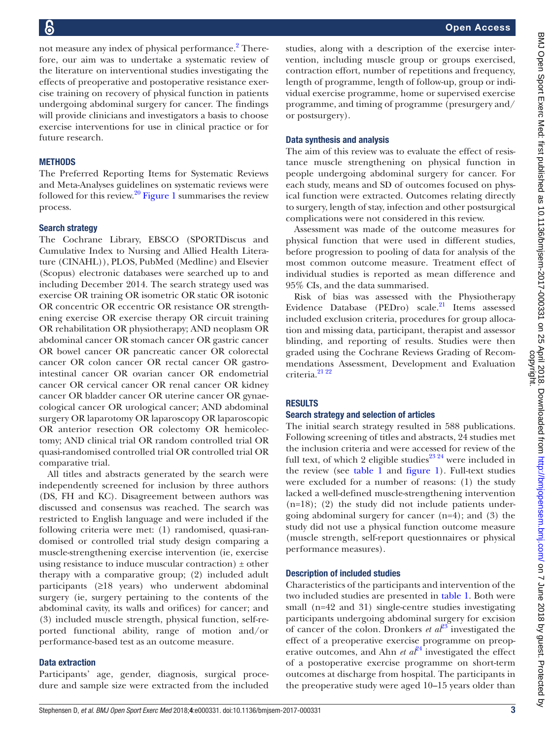not measure any index of physical performance.<sup>[2](#page-5-1)</sup> Therefore, our aim was to undertake a systematic review of the literature on interventional studies investigating the effects of preoperative and postoperative resistance exercise training on recovery of physical function in patients undergoing abdominal surgery for cancer. The findings will provide clinicians and investigators a basis to choose exercise interventions for use in clinical practice or for future research.

#### METhODs

The Preferred Reporting Items for Systematic Reviews and Meta-Analyses guidelines on systematic reviews were followed for this review.<sup>[20](#page-6-6)</sup> [Figure 1](#page-1-0) summarises the review process.

#### search strategy

The Cochrane Library, EBSCO (SPORTDiscus and Cumulative Index to Nursing and Allied Health Literature (CINAHL)), PLOS, PubMed (Medline) and Elsevier (Scopus) electronic databases were searched up to and including December 2014. The search strategy used was exercise OR training OR isometric OR static OR isotonic OR concentric OR eccentric OR resistance OR strengthening exercise OR exercise therapy OR circuit training OR rehabilitation OR physiotherapy; AND neoplasm OR abdominal cancer OR stomach cancer OR gastric cancer OR bowel cancer OR pancreatic cancer OR colorectal cancer OR colon cancer OR rectal cancer OR gastrointestinal cancer OR ovarian cancer OR endometrial cancer OR cervical cancer OR renal cancer OR kidney cancer OR bladder cancer OR uterine cancer OR gynaecological cancer OR urological cancer; AND abdominal surgery OR laparotomy OR laparoscopy OR laparoscopic OR anterior resection OR colectomy OR hemicolectomy; AND clinical trial OR random controlled trial OR quasi-randomised controlled trial OR controlled trial OR comparative trial.

All titles and abstracts generated by the search were independently screened for inclusion by three authors (DS, FH and KC). Disagreement between authors was discussed and consensus was reached. The search was restricted to English language and were included if the following criteria were met: (1) randomised, quasi-randomised or controlled trial study design comparing a muscle-strengthening exercise intervention (ie, exercise using resistance to induce muscular contraction)  $\pm$  other therapy with a comparative group; (2) included adult participants (≥18 years) who underwent abdominal surgery (ie, surgery pertaining to the contents of the abdominal cavity, its walls and orifices) for cancer; and (3) included muscle strength, physical function, self-reported functional ability, range of motion and/or performance-based test as an outcome measure.

#### <span id="page-3-0"></span>Data extraction

Participants' age, gender, diagnosis, surgical procedure and sample size were extracted from the included

studies, along with a description of the exercise intervention, including muscle group or groups exercised, contraction effort, number of repetitions and frequency, length of programme, length of follow-up, group or individual exercise programme, home or supervised exercise programme, and timing of programme (presurgery and/ or postsurgery).

#### Data synthesis and analysis

The aim of this review was to evaluate the effect of resistance muscle strengthening on physical function in people undergoing abdominal surgery for cancer. For each study, means and SD of outcomes focused on physical function were extracted. Outcomes relating directly to surgery, length of stay, infection and other postsurgical complications were not considered in this review.

Assessment was made of the outcome measures for physical function that were used in different studies, before progression to pooling of data for analysis of the most common outcome measure. Treatment effect of individual studies is reported as mean difference and 95% CIs, and the data summarised.

Risk of bias was assessed with the Physiotherapy Evidence Database (PEDro) scale.<sup>[21](#page-6-7)</sup> Items assessed included exclusion criteria, procedures for group allocation and missing data, participant, therapist and assessor blinding, and reporting of results. Studies were then graded using the Cochrane Reviews Grading of Recommendations Assessment, Development and Evaluation criteria.<sup>[21 22](#page-6-7)</sup>

#### **RESULTS**

#### search strategy and selection of articles

The initial search strategy resulted in 588 publications. Following screening of titles and abstracts, 24 studies met the inclusion criteria and were accessed for review of the full text, of which 2 eligible studies<sup>[23 24](#page-6-8)</sup> were included in the review (see [table 1](#page-3-0) and [figure 1\)](#page-1-0). Full-text studies were excluded for a number of reasons: (1) the study lacked a well-defined muscle-strengthening intervention  $(n=18)$ ; (2) the study did not include patients undergoing abdominal surgery for cancer (n=4); and (3) the study did not use a physical function outcome measure (muscle strength, self-report questionnaires or physical performance measures).

#### Description of included studies

Characteristics of the participants and intervention of the two included studies are presented in [table 1](#page-3-0). Both were small (n=42 and 31) single-centre studies investigating participants undergoing abdominal surgery for excision of cancer of the colon. Dronkers *et al*<sup>[23](#page-6-8)</sup> investigated the effect of a preoperative exercise programme on preoperative outcomes, and Ahn *et*  $a^{24}$  $a^{24}$  $a^{24}$  investigated the effect of a postoperative exercise programme on short-term outcomes at discharge from hospital. The participants in the preoperative study were aged 10–15 years older than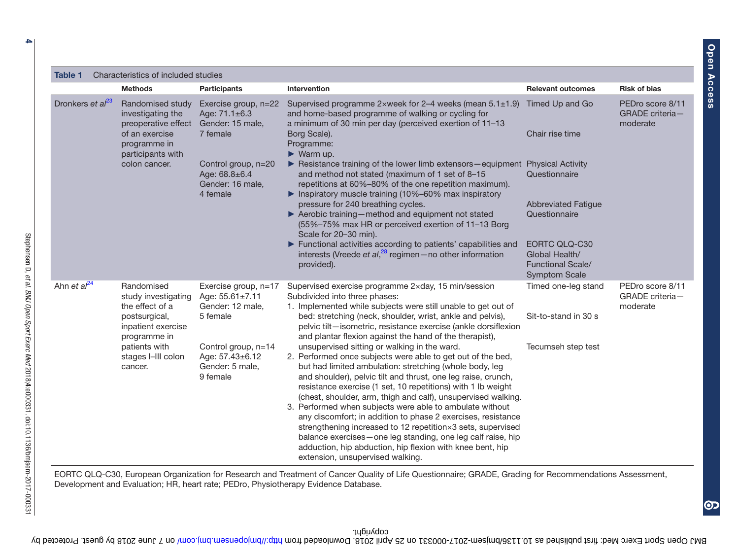$\bigcirc$ 

|                              | <b>Methods</b>                                                                                                                                                | <b>Participants</b>                                                        | Intervention                                                                                                                                                                                                                                                                                                                                                                                                                                                                                                                                                        | <b>Relevant outcomes</b>                                                                   | <b>Risk of bias</b>                             |
|------------------------------|---------------------------------------------------------------------------------------------------------------------------------------------------------------|----------------------------------------------------------------------------|---------------------------------------------------------------------------------------------------------------------------------------------------------------------------------------------------------------------------------------------------------------------------------------------------------------------------------------------------------------------------------------------------------------------------------------------------------------------------------------------------------------------------------------------------------------------|--------------------------------------------------------------------------------------------|-------------------------------------------------|
| Dronkers et al <sup>23</sup> | Randomised study<br>investigating the<br>preoperative effect<br>of an exercise<br>programme in<br>participants with<br>colon cancer.                          | Exercise group, n=22<br>Age: 71.1±6.3<br>Gender: 15 male,<br>7 female      | Supervised programme 2xweek for 2-4 weeks (mean $5.1 \pm 1.9$ )<br>and home-based programme of walking or cycling for<br>a minimum of 30 min per day (perceived exertion of 11-13                                                                                                                                                                                                                                                                                                                                                                                   | Timed Up and Go                                                                            | PEDro score 8/11<br>GRADE criteria-<br>moderate |
|                              |                                                                                                                                                               |                                                                            | Borg Scale).<br>Programme:<br>$\triangleright$ Warm up.                                                                                                                                                                                                                                                                                                                                                                                                                                                                                                             | Chair rise time                                                                            |                                                 |
|                              |                                                                                                                                                               | Control group, n=20<br>Age: $68.8 \pm 6.4$<br>Gender: 16 male,<br>4 female | Resistance training of the lower limb extensors-equipment Physical Activity<br>and method not stated (maximum of 1 set of 8-15<br>repetitions at 60%-80% of the one repetition maximum).<br>Inspiratory muscle training (10%-60% max inspiratory                                                                                                                                                                                                                                                                                                                    | Questionnaire                                                                              |                                                 |
|                              |                                                                                                                                                               |                                                                            | pressure for 240 breathing cycles.<br>Aerobic training-method and equipment not stated<br>(55%-75% max HR or perceived exertion of 11-13 Borg<br>Scale for 20-30 min).                                                                                                                                                                                                                                                                                                                                                                                              | <b>Abbreviated Fatigue</b><br>Questionnaire                                                |                                                 |
|                              |                                                                                                                                                               |                                                                            | Functional activities according to patients' capabilities and<br>interests (Vreede et $al^{28}$ regimen – no other information<br>provided).                                                                                                                                                                                                                                                                                                                                                                                                                        | <b>EORTC QLQ-C30</b><br>Global Health/<br><b>Functional Scale/</b><br><b>Symptom Scale</b> |                                                 |
| Ahn et $al^{24}$             | Randomised<br>study investigating<br>the effect of a<br>postsurgical,<br>inpatient exercise<br>programme in<br>patients with<br>stages I-III colon<br>cancer. | Exercise group, n=17<br>Age: $55.61 \pm 7.11$<br>Gender: 12 male,          | Supervised exercise programme 2xday, 15 min/session<br>Subdivided into three phases:<br>1. Implemented while subjects were still unable to get out of                                                                                                                                                                                                                                                                                                                                                                                                               | Timed one-leg stand                                                                        | PEDro score 8/11<br>GRADE criteria-<br>moderate |
|                              |                                                                                                                                                               | 5 female                                                                   | bed: stretching (neck, shoulder, wrist, ankle and pelvis),<br>pelvic tilt-isometric, resistance exercise (ankle dorsiflexion<br>and plantar flexion against the hand of the therapist),                                                                                                                                                                                                                                                                                                                                                                             | Sit-to-stand in 30 s                                                                       |                                                 |
|                              |                                                                                                                                                               | Control group, n=14<br>Age: 57.43±6.12<br>Gender: 5 male.<br>9 female      | unsupervised sitting or walking in the ward.<br>2. Performed once subjects were able to get out of the bed,<br>but had limited ambulation: stretching (whole body, leg<br>and shoulder), pelvic tilt and thrust, one leg raise, crunch,<br>resistance exercise (1 set, 10 repetitions) with 1 lb weight<br>(chest, shoulder, arm, thigh and calf), unsupervised walking.<br>3. Performed when subjects were able to ambulate without<br>any discomfort; in addition to phase 2 exercises, resistance<br>strengthening increased to 12 repetition×3 sets, supervised | Tecumseh step test                                                                         |                                                 |
|                              |                                                                                                                                                               |                                                                            | balance exercises-one leg standing, one leg calf raise, hip<br>adduction, hip abduction, hip flexion with knee bent, hip<br>extension, unsupervised walking.                                                                                                                                                                                                                                                                                                                                                                                                        |                                                                                            |                                                 |

<span id="page-4-0"></span>EORTC QLQ-C30, European Organization for Research and Treatment of Cancer Quality of Life Questionnaire; GRADE, Grading for Recommendations Assessment, Development and Evaluation; HR, heart rate; PEDro, Physiotherapy Evidence Database.

44

Stephensen D, et al

Stephensen D, et al. BMJ Open Sport Exerc Med 2018;4:e000331. doi:10.1136/bmisem-2017-000331

2018;4:e000331. doi:10.1136/bmjsem-2017-000331

BMJ Open Sport Exerc Med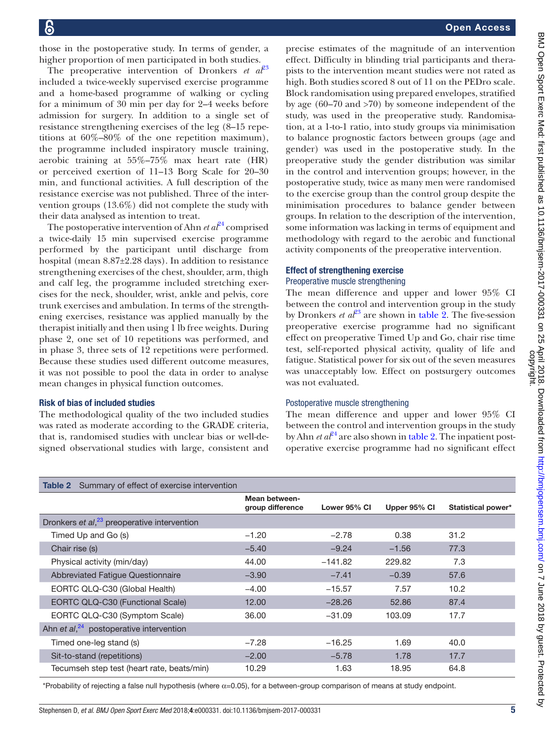those in the postoperative study. In terms of gender, a higher proportion of men participated in both studies.

The preoperative intervention of Dronkers *et*  $a\ell^{23}$  $a\ell^{23}$  $a\ell^{23}$ included a twice-weekly supervised exercise programme and a home-based programme of walking or cycling for a minimum of 30 min per day for 2–4 weeks before admission for surgery. In addition to a single set of resistance strengthening exercises of the leg (8–15 repetitions at 60%–80% of the one repetition maximum), the programme included inspiratory muscle training, aerobic training at 55%–75% max heart rate (HR) or perceived exertion of 11–13 Borg Scale for 20–30 min, and functional activities. A full description of the resistance exercise was not published. Three of the intervention groups (13.6%) did not complete the study with their data analysed as intention to treat.

The postoperative intervention of Ahn  $et\ a^{\beta 4}$  comprised a twice-daily 15 min supervised exercise programme performed by the participant until discharge from hospital (mean 8.87±2.28 days). In addition to resistance strengthening exercises of the chest, shoulder, arm, thigh and calf leg, the programme included stretching exercises for the neck, shoulder, wrist, ankle and pelvis, core trunk exercises and ambulation. In terms of the strengthening exercises, resistance was applied manually by the therapist initially and then using 1 lb free weights. During phase 2, one set of 10 repetitions was performed, and in phase 3, three sets of 12 repetitions were performed. Because these studies used different outcome measures, it was not possible to pool the data in order to analyse mean changes in physical function outcomes.

#### **Risk of bias of included studies**

The methodological quality of the two included studies was rated as moderate according to the GRADE criteria, that is, randomised studies with unclear bias or well-designed observational studies with large, consistent and

precise estimates of the magnitude of an intervention effect. Difficulty in blinding trial participants and therapists to the intervention meant studies were not rated as high. Both studies scored 8 out of 11 on the PEDro scale. Block randomisation using prepared envelopes, stratified by age (60–70 and >70) by someone independent of the study, was used in the preoperative study. Randomisation, at a 1-to-1 ratio, into study groups via minimisation to balance prognostic factors between groups (age and gender) was used in the postoperative study. In the preoperative study the gender distribution was similar in the control and intervention groups; however, in the postoperative study, twice as many men were randomised to the exercise group than the control group despite the minimisation procedures to balance gender between groups. In relation to the description of the intervention, some information was lacking in terms of equipment and methodology with regard to the aerobic and functional activity components of the preoperative intervention.

#### Effect of strengthening exercise

#### Preoperative muscle strengthening

The mean difference and upper and lower 95% CI between the control and intervention group in the study by Dronkers *et al*<sup>[23](#page-6-8)</sup> are shown in [table 2](#page-4-0). The five-session preoperative exercise programme had no significant effect on preoperative Timed Up and Go, chair rise time test, self-reported physical activity, quality of life and fatigue. Statistical power for six out of the seven measures was unacceptably low. Effect on postsurgery outcomes was not evaluated.

#### Postoperative muscle strengthening

<span id="page-5-3"></span><span id="page-5-2"></span><span id="page-5-1"></span><span id="page-5-0"></span>The mean difference and upper and lower 95% CI between the control and intervention groups in the study by Ahn *et al*<sup>[24](#page-6-9)</sup> are also shown in [table 2](#page-4-0). The inpatient postoperative exercise programme had no significant effect

| <b>Table 2</b> Summary of effect of exercise intervention |                                   |              |              |                    |
|-----------------------------------------------------------|-----------------------------------|--------------|--------------|--------------------|
|                                                           | Mean between-<br>group difference | Lower 95% CI | Upper 95% CI | Statistical power* |
| Dronkers et al, <sup>23</sup> preoperative intervention   |                                   |              |              |                    |
| Timed Up and Go (s)                                       | $-1.20$                           | $-2.78$      | 0.38         | 31.2               |
| Chair rise (s)                                            | $-5.40$                           | $-9.24$      | $-1.56$      | 77.3               |
| Physical activity (min/day)                               | 44.00                             | $-141.82$    | 229.82       | 7.3                |
| <b>Abbreviated Fatigue Questionnaire</b>                  | $-3.90$                           | $-7.41$      | $-0.39$      | 57.6               |
| EORTC QLQ-C30 (Global Health)                             | $-4.00$                           | $-15.57$     | 7.57         | 10.2               |
| EORTC QLQ-C30 (Functional Scale)                          | 12.00                             | $-28.26$     | 52.86        | 87.4               |
| EORTC QLQ-C30 (Symptom Scale)                             | 36.00                             | $-31.09$     | 103.09       | 17.7               |
| Ahn et al, $^{24}$ postoperative intervention             |                                   |              |              |                    |
| Timed one-leg stand (s)                                   | $-7.28$                           | $-16.25$     | 1.69         | 40.0               |
| Sit-to-stand (repetitions)                                | $-2.00$                           | $-5.78$      | 1.78         | 17.7               |
| Tecumseh step test (heart rate, beats/min)                | 10.29                             | 1.63         | 18.95        | 64.8               |

\*Probability of rejecting a false null hypothesis (where α=0.05), for a between-group comparison of means at study endpoint.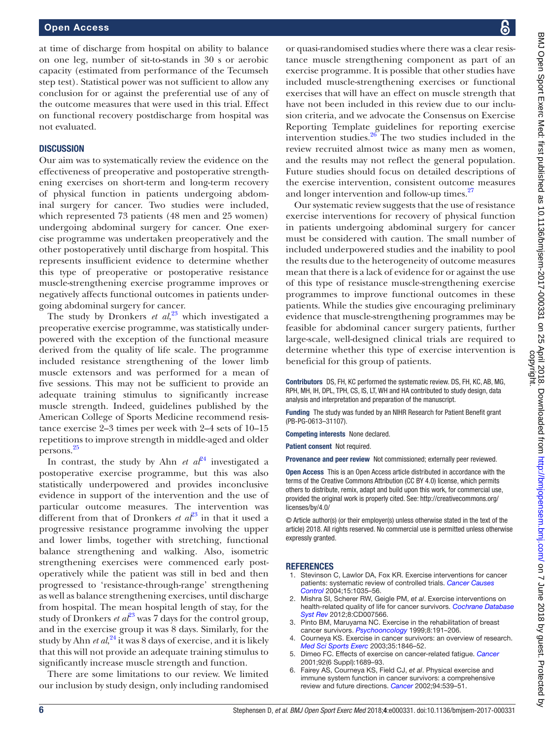<span id="page-6-2"></span><span id="page-6-1"></span><span id="page-6-0"></span>at time of discharge from hospital on ability to balance on one leg, number of sit-to-stands in 30 s or aerobic capacity (estimated from performance of the Tecumseh step test). Statistical power was not sufficient to allow any conclusion for or against the preferential use of any of the outcome measures that were used in this trial. Effect on functional recovery postdischarge from hospital was not evaluated.

#### <span id="page-6-3"></span>**DISCUSSION**

Our aim was to systematically review the evidence on the effectiveness of preoperative and postoperative strengthening exercises on short-term and long-term recovery of physical function in patients undergoing abdominal surgery for cancer. Two studies were included, which represented 73 patients (48 men and 25 women) undergoing abdominal surgery for cancer. One exercise programme was undertaken preoperatively and the other postoperatively until discharge from hospital. This represents insufficient evidence to determine whether this type of preoperative or postoperative resistance muscle-strengthening exercise programme improves or negatively affects functional outcomes in patients undergoing abdominal surgery for cancer.

<span id="page-6-5"></span><span id="page-6-4"></span>The study by Dronkers *et al*, [23](#page-6-8) which investigated a preoperative exercise programme, was statistically underpowered with the exception of the functional measure derived from the quality of life scale. The programme included resistance strengthening of the lower limb muscle extensors and was performed for a mean of five sessions. This may not be sufficient to provide an adequate training stimulus to significantly increase muscle strength. Indeed, guidelines published by the American College of Sports Medicine recommend resistance exercise 2–3 times per week with 2–4 sets of 10–15 repetitions to improve strength in middle-aged and older persons. [25](#page-6-13)

In contrast, the study by Ahn *et al*<sup>[24](#page-6-9)</sup> investigated a postoperative exercise programme, but this was also statistically underpowered and provides inconclusive evidence in support of the intervention and the use of particular outcome measures. The intervention was different from that of Dronkers *et*  $a^{23}$  $a^{23}$  $a^{23}$  in that it used a progressive resistance programme involving the upper and lower limbs, together with stretching, functional balance strengthening and walking. Also, isometric strengthening exercises were commenced early postoperatively while the patient was still in bed and then progressed to 'resistance-through-range' strengthening as well as balance strengthening exercises, until discharge from hospital. The mean hospital length of stay, for the study of Dronkers *et al*<sup>[23](#page-6-8)</sup> was 7 days for the control group, and in the exercise group it was 8 days. Similarly, for the study by Ahn *et al*, [24](#page-6-9) it was 8 days of exercise, and it is likely that this will not provide an adequate training stimulus to significantly increase muscle strength and function.

There are some limitations to our review. We limited our inclusion by study design, only including randomised

<span id="page-6-8"></span><span id="page-6-7"></span><span id="page-6-6"></span>or quasi-randomised studies where there was a clear resistance muscle strengthening component as part of an exercise programme. It is possible that other studies have included muscle-strengthening exercises or functional exercises that will have an effect on muscle strength that have not been included in this review due to our inclusion criteria, and we advocate the Consensus on Exercise Reporting Template guidelines for reporting exercise intervention studies. $26^{\circ}$  $26^{\circ}$  The two studies included in the review recruited almost twice as many men as women, and the results may not reflect the general population. Future studies should focus on detailed descriptions of the exercise intervention, consistent outcome measures and longer intervention and follow-up times.<sup>[27](#page-6-15)</sup>

<span id="page-6-15"></span><span id="page-6-14"></span><span id="page-6-13"></span><span id="page-6-12"></span><span id="page-6-11"></span><span id="page-6-10"></span><span id="page-6-9"></span>Our systematic review suggests that the use of resistance exercise interventions for recovery of physical function in patients undergoing abdominal surgery for cancer must be considered with caution. The small number of included underpowered studies and the inability to pool the results due to the heterogeneity of outcome measures mean that there is a lack of evidence for or against the use of this type of resistance muscle-strengthening exercise programmes to improve functional outcomes in these patients. While the studies give encouraging preliminary evidence that muscle-strengthening programmes may be feasible for abdominal cancer surgery patients, further large-scale, well-designed clinical trials are required to determine whether this type of exercise intervention is beneficial for this group of patients.

Contributors DS, FH, KC performed the systematic review. DS, FH, KC, AB, MG, RPH, MH, IH, DPL, TPH, CS, IS, LT, WH and HA contributed to study design, data analysis and interpretation and preparation of the manuscript.

Funding The study was funded by an NIHR Research for Patient Benefit grant (PB-PG-0613–31107).

Competing interests None declared.

Patient consent Not required.

Provenance and peer review Not commissioned; externally peer reviewed.

Open Access This is an Open Access article distributed in accordance with the terms of the Creative Commons Attribution (CC BY 4.0) license, which permits others to distribute, remix, adapt and build upon this work, for commercial use, provided the original work is properly cited. See: [http:// creativecommons. org/](http://creativecommons.org/licenses/by/4.0/) licenses/by/4.0/

© Article author(s) (or their employer(s) unless otherwise stated in the text of the article) 2018. All rights reserved. No commercial use is permitted unless otherwise expressly granted.

#### **REFERENCES**

- 1. Stevinson C, Lawlor DA, Fox KR. Exercise interventions for cancer patients: systematic review of controlled trials. Cancer Causes [Control](http://dx.doi.org/10.1007/s10552-004-1325-4) 2004;15:1035-56.
- 2. Mishra SI, Scherer RW, Geigle PM, et al. Exercise interventions on health-related quality of life for cancer survivors. Cochrane Database [Syst Rev](http://dx.doi.org/10.1002/14651858.CD007566.pub2) 2012;8:CD007566.
- 3. Pinto BM, Maruyama NC. Exercise in the rehabilitation of breast cancer survivors. [Psychooncology](http://dx.doi.org/10.1002/(SICI)1099-1611(199905/06)8:3<191::AID-PON355>3.0.CO;2-T) 1999;8:191-206.
- 4. Courneya KS. Exercise in cancer survivors: an overview of research. [Med Sci Sports Exerc](http://dx.doi.org/10.1249/01.MSS.0000093622.41587.B6) 2003;35:1846-52.
- Dimeo FC. Effects of exercise on cancer-related fatigue. [Cancer](http://dx.doi.org/10.1002/1097-0142(20010915)92:6+<1689::AID-CNCR1498>3.0.CO;2-H) 2001;92(6 Suppl):1689–93.
- 6. Fairey AS, Courneya KS, Field CJ, et al. Physical exercise and immune system function in cancer survivors: a comprehensive review and future directions. [Cancer](http://dx.doi.org/10.1002/cncr.10244) 2002;94:539–51.